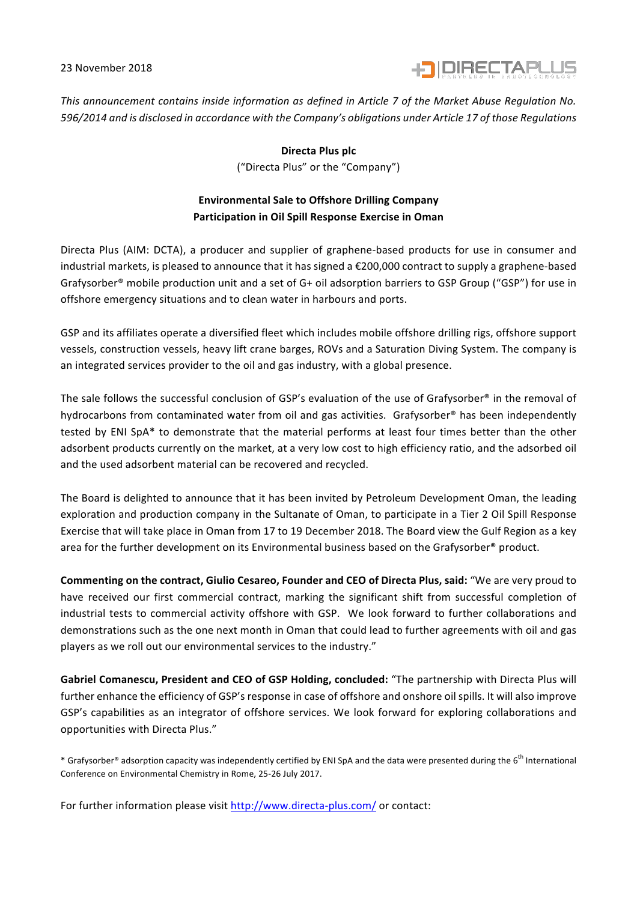23 November 2018



*This announcement contains inside information as defined in Article 7 of the Market Abuse Regulation No. 596/2014* and is disclosed in accordance with the Company's obligations under Article 17 of those Regulations

> **Directa Plus plc** ("Directa Plus" or the "Company")

## **Environmental Sale to Offshore Drilling Company** Participation in Oil Spill Response Exercise in Oman

Directa Plus (AIM: DCTA), a producer and supplier of graphene-based products for use in consumer and industrial markets, is pleased to announce that it has signed a  $\epsilon$ 200,000 contract to supply a graphene-based Grafysorber<sup>®</sup> mobile production unit and a set of G+ oil adsorption barriers to GSP Group ("GSP") for use in offshore emergency situations and to clean water in harbours and ports.

GSP and its affiliates operate a diversified fleet which includes mobile offshore drilling rigs, offshore support vessels, construction vessels, heavy lift crane barges, ROVs and a Saturation Diving System. The company is an integrated services provider to the oil and gas industry, with a global presence.

The sale follows the successful conclusion of GSP's evaluation of the use of Grafysorber® in the removal of hydrocarbons from contaminated water from oil and gas activities. Grafysorber® has been independently tested by ENI SpA\* to demonstrate that the material performs at least four times better than the other adsorbent products currently on the market, at a very low cost to high efficiency ratio, and the adsorbed oil and the used adsorbent material can be recovered and recycled.

The Board is delighted to announce that it has been invited by Petroleum Development Oman, the leading exploration and production company in the Sultanate of Oman, to participate in a Tier 2 Oil Spill Response Exercise that will take place in Oman from 17 to 19 December 2018. The Board view the Gulf Region as a key area for the further development on its Environmental business based on the Grafysorber® product.

**Commenting on the contract, Giulio Cesareo, Founder and CEO of Directa Plus, said: "We are very proud to** have received our first commercial contract, marking the significant shift from successful completion of industrial tests to commercial activity offshore with GSP. We look forward to further collaborations and demonstrations such as the one next month in Oman that could lead to further agreements with oil and gas players as we roll out our environmental services to the industry."

Gabriel Comanescu, President and CEO of GSP Holding, concluded: "The partnership with Directa Plus will further enhance the efficiency of GSP's response in case of offshore and onshore oil spills. It will also improve GSP's capabilities as an integrator of offshore services. We look forward for exploring collaborations and opportunities with Directa Plus."

\* Grafysorber® adsorption capacity was independently certified by ENI SpA and the data were presented during the 6<sup>th</sup> International Conference on Environmental Chemistry in Rome, 25-26 July 2017.

For further information please visit http://www.directa-plus.com/ or contact: